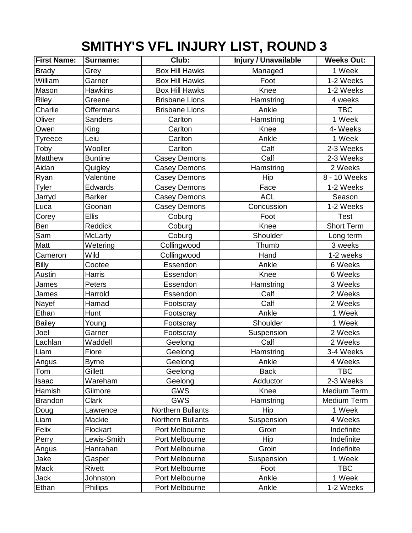## **SMITHY'S VFL INJURY LIST, ROUND 3**

| <b>First Name:</b> | Surname:         | Club:                    | <b>Injury / Unavailable</b> | <b>Weeks Out:</b> |
|--------------------|------------------|--------------------------|-----------------------------|-------------------|
| <b>Brady</b>       | Grey             | <b>Box Hill Hawks</b>    | Managed                     | 1 Week            |
| William            | Garner           | <b>Box Hill Hawks</b>    | Foot                        | 1-2 Weeks         |
| Mason              | <b>Hawkins</b>   | <b>Box Hill Hawks</b>    | Knee                        | 1-2 Weeks         |
| Riley              | Greene           | <b>Brisbane Lions</b>    | Hamstring                   | 4 weeks           |
| Charlie            | <b>Offermans</b> | <b>Brisbane Lions</b>    | Ankle                       | <b>TBC</b>        |
| Oliver             | Sanders          | Carlton                  | Hamstring                   | 1 Week            |
| Owen               | King             | Carlton                  | Knee                        | 4- Weeks          |
| <b>Tyreece</b>     | Leiu             | Carlton                  | Ankle                       | 1 Week            |
| Toby               | Wooller          | Carlton                  | Calf                        | 2-3 Weeks         |
| Matthew            | <b>Buntine</b>   | <b>Casey Demons</b>      | Calf                        | 2-3 Weeks         |
| Aidan              | Quigley          | <b>Casey Demons</b>      | Hamstring                   | 2 Weeks           |
| Ryan               | Valentine        | <b>Casey Demons</b>      | Hip                         | 8 - 10 Weeks      |
| <b>Tyler</b>       | Edwards          | <b>Casey Demons</b>      | Face                        | 1-2 Weeks         |
| Jarryd             | <b>Barker</b>    | <b>Casey Demons</b>      | <b>ACL</b>                  | Season            |
| Luca               | Goonan           | <b>Casey Demons</b>      | Concussion                  | 1-2 Weeks         |
| Corey              | <b>Ellis</b>     | Coburg                   | Foot                        | <b>Test</b>       |
| Ben                | Reddick          | Coburg                   | Knee                        | <b>Short Term</b> |
| Sam                | McLarty          | Coburg                   | Shoulder                    | Long term         |
| Matt               | Wetering         | Collingwood              | Thumb                       | 3 weeks           |
| Cameron            | Wild             | Collingwood              | Hand                        | 1-2 weeks         |
| <b>Billy</b>       | Cootee           | Essendon                 | Ankle                       | 6 Weeks           |
| Austin             | Harris           | Essendon                 | Knee                        | 6 Weeks           |
| James              | Peters           | Essendon                 | Hamstring                   | 3 Weeks           |
| James              | Harrold          | Essendon                 | Calf                        | 2 Weeks           |
| Nayef              | Hamad            | Footscray                | Calf                        | 2 Weeks           |
| Ethan              | Hunt             | Footscray                | Ankle                       | 1 Week            |
| <b>Bailey</b>      | Young            | Footscray                | Shoulder                    | 1 Week            |
| Joel               | Garner           | Footscray                | Suspension                  | 2 Weeks           |
| Lachlan            | Waddell          | Geelong                  | Calf                        | 2 Weeks           |
| Liam               | Fiore            | Geelong                  | Hamstring                   | 3-4 Weeks         |
| Angus              | <b>Byrne</b>     | Geelong                  | Ankle                       | 4 Weeks           |
| Tom                | Gillett          | Geelong                  | <b>Back</b>                 | <b>TBC</b>        |
| Isaac              | Wareham          | Geelong                  | Adductor                    | 2-3 Weeks         |
| Hamish             | Gilmore          | <b>GWS</b>               | Knee                        | Medium Term       |
| <b>Brandon</b>     | Clark            | <b>GWS</b>               | Hamstring                   | Medium Term       |
| Doug               | Lawrence         | Northern Bullants        | Hip                         | 1 Week            |
| Liam               | Mackie           | <b>Northern Bullants</b> | Suspension                  | 4 Weeks           |
| Felix              | Flockart         | Port Melbourne           | Groin                       | Indefinite        |
| Perry              | Lewis-Smith      | Port Melbourne           | Hip                         | Indefinite        |
| Angus              | Hanrahan         | Port Melbourne           | Groin                       | Indefinite        |
| Jake               | Gasper           | Port Melbourne           | Suspension                  | 1 Week            |
| Mack               | Rivett           | Port Melbourne           | Foot                        | <b>TBC</b>        |
| Jack               | Johnston         | Port Melbourne           | Ankle                       | 1 Week            |
| Ethan              | <b>Phillips</b>  | Port Melbourne           | Ankle                       | 1-2 Weeks         |